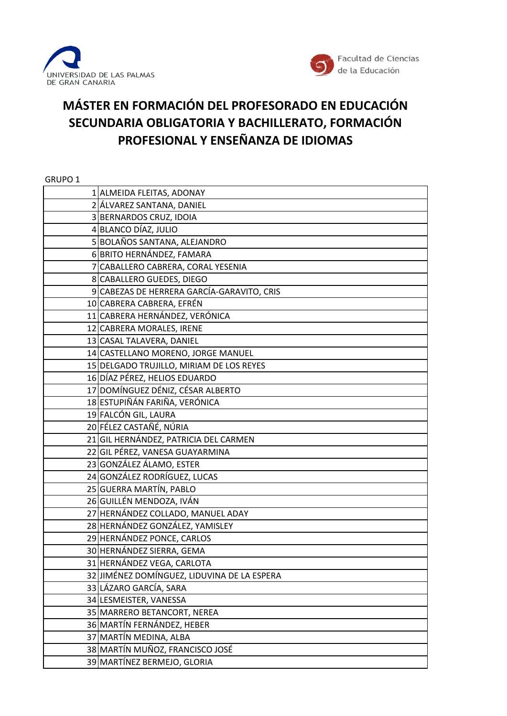



## **MÁSTER EN FORMACIÓN DEL PROFESORADO EN EDUCACIÓN SECUNDARIA OBLIGATORIA Y BACHILLERATO, FORMACIÓN PROFESIONAL Y ENSEÑANZA DE IDIOMAS**

| GRUPO 1 |                                             |
|---------|---------------------------------------------|
|         | 1 ALMEIDA FLEITAS, ADONAY                   |
|         | 2 ÁLVAREZ SANTANA, DANIEL                   |
|         | 3 BERNARDOS CRUZ, IDOIA                     |
|         | 4 BLANCO DÍAZ, JULIO                        |
|         | 5 BOLAÑOS SANTANA, ALEJANDRO                |
|         | 6 BRITO HERNÁNDEZ, FAMARA                   |
|         | 7 CABALLERO CABRERA, CORAL YESENIA          |
|         | 8 CABALLERO GUEDES, DIEGO                   |
|         | 9 CABEZAS DE HERRERA GARCÍA-GARAVITO, CRIS  |
|         | 10 CABRERA CABRERA, EFRÉN                   |
|         | 11 CABRERA HERNÁNDEZ, VERÓNICA              |
|         | 12 CABRERA MORALES, IRENE                   |
|         | 13 CASAL TALAVERA, DANIEL                   |
|         | 14 CASTELLANO MORENO, JORGE MANUEL          |
|         | 15 DELGADO TRUJILLO, MIRIAM DE LOS REYES    |
|         | 16 DÍAZ PÉREZ, HELIOS EDUARDO               |
|         | 17 DOMÍNGUEZ DÉNIZ, CÉSAR ALBERTO           |
|         | 18 ESTUPIÑÁN FARIÑA, VERÓNICA               |
|         | 19 FALCÓN GIL, LAURA                        |
|         | 20 FÉLEZ CASTAÑÉ, NÚRIA                     |
|         | 21 GIL HERNÁNDEZ, PATRICIA DEL CARMEN       |
|         | 22 GIL PÉREZ, VANESA GUAYARMINA             |
|         | 23 GONZÁLEZ ÁLAMO, ESTER                    |
|         | 24 GONZÁLEZ RODRÍGUEZ, LUCAS                |
|         | 25 GUERRA MARTÍN, PABLO                     |
|         | 26 GUILLÉN MENDOZA, IVÁN                    |
|         | 27 HERNÁNDEZ COLLADO, MANUEL ADAY           |
|         | 28 HERNÁNDEZ GONZÁLEZ, YAMISLEY             |
|         | 29 HERNÁNDEZ PONCE, CARLOS                  |
|         | 30 HERNÁNDEZ SIERRA, GEMA                   |
|         | 31 HERNÁNDEZ VEGA, CARLOTA                  |
|         | 32 JIMÉNEZ DOMÍNGUEZ, LIDUVINA DE LA ESPERA |
|         | 33 LÁZARO GARCÍA, SARA                      |
|         | 34 LESMEISTER, VANESSA                      |
|         | 35 MARRERO BETANCORT, NEREA                 |
|         | 36 MARTÍN FERNÁNDEZ, HEBER                  |
|         | 37 MARTÍN MEDINA, ALBA                      |
|         | 38 MARTÍN MUÑOZ, FRANCISCO JOSÉ             |
|         | 39 MARTÍNEZ BERMEJO, GLORIA                 |